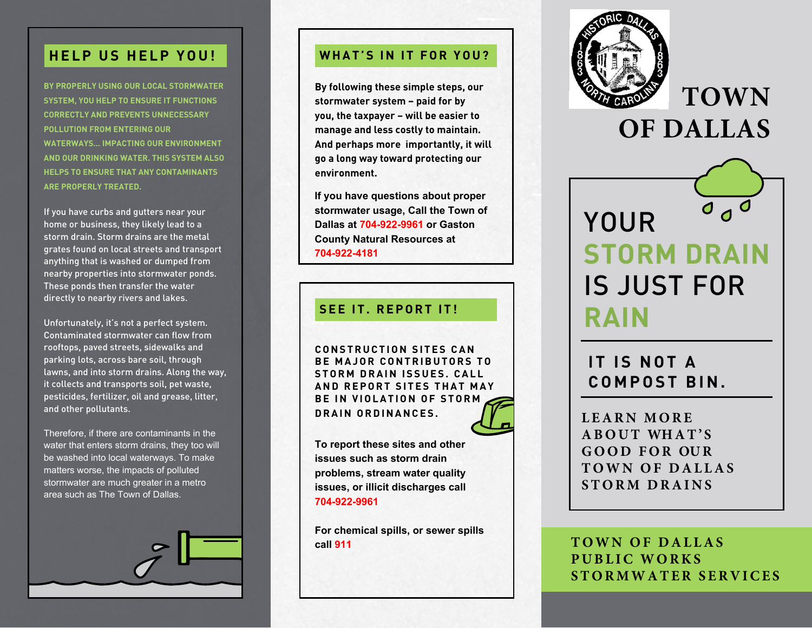### **HELP US HELP YOU! WHAT'S IN IT FOR YOU?**

**BY PROPERLY USING OUR LOCAL STORMWATER SYSTEM, YOU HELP TO ENSURE IT FUNCTIONS CORRECTLY AND PREVENTS UNNECESSARY POLLUTION FROM ENTERING OUR WATERWAYS… IMPACTING OUR ENVIRONMENT AND OUR DRINKING WATER. THIS SYSTEM ALSO HELPS TO ENSURE THAT ANY CONTAMINANTS ARE PROPERLY TREATED.**

If you have curbs and gutters near your home or business, they likely lead to a storm drain. Storm drains are the metal grates found on local streets and transport anything that is washed or dumped from nearby properties into stormwater ponds. These ponds then transfer the water directly to nearby rivers and lakes.

Unfortunately, it's not a perfect system. Contaminated stormwater can flow from rooftops, paved streets, sidewalks and parking lots, across bare soil, through lawns, and into storm drains. Along the way, it collects and transports soil, pet waste, pesticides, fertilizer, oil and grease, litter, and other pollutants.

Therefore, if there are contaminants in the water that enters storm drains, they too will be washed into local waterways. To make matters worse, the impacts of polluted stormwater are much greater in a metro area such as The Town of Dallas.



**By following these simple steps, our stormwater system – paid for by you, the taxpayer – will be easier to manage and less costly to maintain. And perhaps more importantly, it will go a long way toward protecting our environment.** 

**If you have questions about proper stormwater usage, Call the Town of Dallas at 704-922-9961 or Gaston County Natural Resources at 704-922-4181** 

### **SEE IT. REPORT IT!**

**CONSTRUCTION SITES CAN BE MAJOR CONTRIBUTORS TO STORM DRAIN ISSUES. CALL AND REPORT SITES THAT MAY BE IN VIOLATION OF STORM DRAIN ORDINANCES.**



**To report these sites and other issues such as storm drain problems, stream water quality issues, or illicit discharges call 704-922-9961**

**For chemical spills, or sewer spills call 911**



**TOWN**



**IT IS NOT A C O M P O S T B I N .** 

**L EARN MORE ABOUT WHAT'S GOOD FOR OUR TOWN OF DALLAS STORM DRAINS**

**TOWN OF DALLAS PUBLIC WORKS STORMWATER SERVICES**